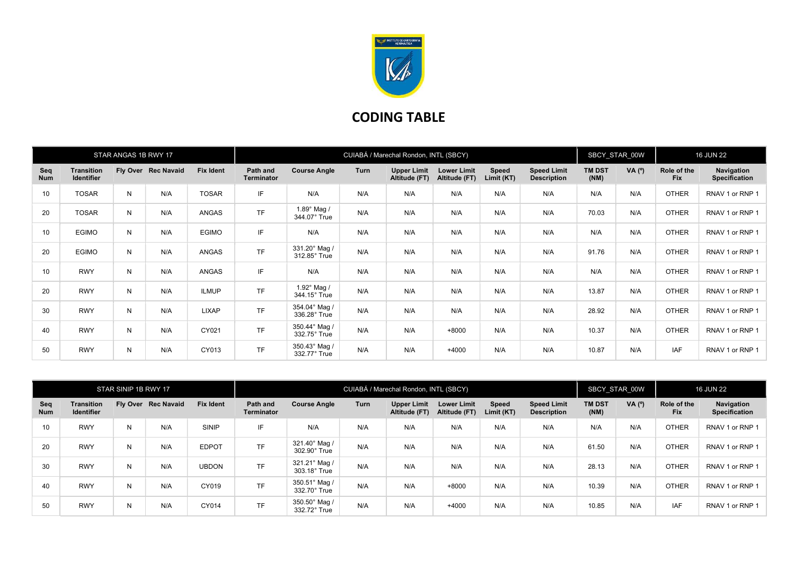

## CODING TABLE

|                   |                                        | STAR ANGAS 1B RWY 17 |                   |                  | CUIABÁ / Marechal Rondon, INTL (SBCY) |                                       |      |                                     |                                     |                            |                                          | SBCY STAR 00W         |        | <b>16 JUN 22</b>          |                                    |
|-------------------|----------------------------------------|----------------------|-------------------|------------------|---------------------------------------|---------------------------------------|------|-------------------------------------|-------------------------------------|----------------------------|------------------------------------------|-----------------------|--------|---------------------------|------------------------------------|
| Seq<br><b>Num</b> | <b>Transition</b><br><b>Identifier</b> | Fly Over             | <b>Rec Navaid</b> | <b>Fix Ident</b> | Path and<br><b>Terminator</b>         | <b>Course Angle</b>                   | Turn | <b>Upper Limit</b><br>Altitude (FT) | <b>Lower Limit</b><br>Altitude (FT) | <b>Speed</b><br>Limit (KT) | <b>Speed Limit</b><br><b>Description</b> | <b>TM DST</b><br>(NM) | VA (°) | Role of the<br><b>Fix</b> | Navigation<br><b>Specification</b> |
| 10                | <b>TOSAR</b>                           | N                    | N/A               | <b>TOSAR</b>     | IF                                    | N/A                                   | N/A  | N/A                                 | N/A                                 | N/A                        | N/A                                      | N/A                   | N/A    | <b>OTHER</b>              | RNAV 1 or RNP 1                    |
| 20                | <b>TOSAR</b>                           | N                    | N/A               | ANGAS            | <b>TF</b>                             | $1.89^\circ$ Mag /<br>344.07° True    | N/A  | N/A                                 | N/A                                 | N/A                        | N/A                                      | 70.03                 | N/A    | <b>OTHER</b>              | RNAV 1 or RNP 1                    |
| 10                | <b>EGIMO</b>                           | N                    | N/A               | <b>EGIMO</b>     | IF                                    | N/A                                   | N/A  | N/A                                 | N/A                                 | N/A                        | N/A                                      | N/A                   | N/A    | <b>OTHER</b>              | RNAV 1 or RNP 1                    |
| 20                | <b>EGIMO</b>                           | N                    | N/A               | ANGAS            | <b>TF</b>                             | 331.20° Mag /<br>312.85° True         | N/A  | N/A                                 | N/A                                 | N/A                        | N/A                                      | 91.76                 | N/A    | <b>OTHER</b>              | RNAV 1 or RNP 1                    |
| 10                | <b>RWY</b>                             | N                    | N/A               | ANGAS            | IF                                    | N/A                                   | N/A  | N/A                                 | N/A                                 | N/A                        | N/A                                      | N/A                   | N/A    | <b>OTHER</b>              | RNAV 1 or RNP 1                    |
| 20                | <b>RWY</b>                             | N                    | N/A               | <b>ILMUP</b>     | <b>TF</b>                             | 1.92 $^{\circ}$ Mag /<br>344.15° True | N/A  | N/A                                 | N/A                                 | N/A                        | N/A                                      | 13.87                 | N/A    | <b>OTHER</b>              | RNAV 1 or RNP 1                    |
| 30                | <b>RWY</b>                             | N                    | N/A               | LIXAP            | <b>TF</b>                             | 354.04° Mag /<br>336.28° True         | N/A  | N/A                                 | N/A                                 | N/A                        | N/A                                      | 28.92                 | N/A    | <b>OTHER</b>              | RNAV 1 or RNP 1                    |
| 40                | <b>RWY</b>                             | N                    | N/A               | CY021            | <b>TF</b>                             | 350.44° Mag /<br>332.75° True         | N/A  | N/A                                 | $+8000$                             | N/A                        | N/A                                      | 10.37                 | N/A    | <b>OTHER</b>              | RNAV 1 or RNP 1                    |
| 50                | <b>RWY</b>                             | Ν                    | N/A               | CY013            | <b>TF</b>                             | 350.43° Mag /<br>332.77° True         | N/A  | N/A                                 | $+4000$                             | N/A                        | N/A                                      | 10.87                 | N/A    | IAF                       | RNAV 1 or RNP 1                    |

|                   |                                 | STAR SINIP 1B RWY 17 |                     |                  | CUIABÁ / Marechal Rondon, INTL (SBCY) |                                      |      |                                     |                                     |                            |                                          | <b>SBCY STAR 00W</b>  |          | <b>16 JUN 22</b>          |                                           |
|-------------------|---------------------------------|----------------------|---------------------|------------------|---------------------------------------|--------------------------------------|------|-------------------------------------|-------------------------------------|----------------------------|------------------------------------------|-----------------------|----------|---------------------------|-------------------------------------------|
| Seq<br><b>Num</b> | Transition<br><b>Identifier</b> |                      | Fly Over Rec Navaid | <b>Fix Ident</b> | Path and<br><b>Terminator</b>         | <b>Course Angle</b>                  | Turn | <b>Upper Limit</b><br>Altitude (FT) | <b>Lower Limit</b><br>Altitude (FT) | <b>Speed</b><br>Limit (KT) | <b>Speed Limit</b><br><b>Description</b> | <b>TM DST</b><br>(NM) | VA $(°)$ | Role of the<br><b>Fix</b> | <b>Navigation</b><br><b>Specification</b> |
| 10 <sup>°</sup>   | <b>RWY</b>                      | N                    | N/A                 | SINIP            | IF                                    | N/A                                  | N/A  | N/A                                 | N/A                                 | N/A                        | N/A                                      | N/A                   | N/A      | <b>OTHER</b>              | RNAV 1 or RNP 1                           |
| 20                | <b>RWY</b>                      | N                    | N/A                 | <b>EDPOT</b>     | <b>TF</b>                             | 321.40° Mag /<br>302.90° True        | N/A  | N/A                                 | N/A                                 | N/A                        | N/A                                      | 61.50                 | N/A      | <b>OTHER</b>              | RNAV 1 or RNP 1                           |
| 30                | <b>RWY</b>                      | N                    | N/A                 | <b>UBDON</b>     | <b>TF</b>                             | 321.21° Mag /<br>$303.18^\circ$ True | N/A  | N/A                                 | N/A                                 | N/A                        | N/A                                      | 28.13                 | N/A      | <b>OTHER</b>              | RNAV 1 or RNP 1                           |
| 40                | <b>RWY</b>                      | N                    | N/A                 | CY019            | <b>TF</b>                             | 350.51° Mag /<br>332.70° True        | N/A  | N/A                                 | $+8000$                             | N/A                        | N/A                                      | 10.39                 | N/A      | <b>OTHER</b>              | RNAV 1 or RNP 1                           |
| 50                | <b>RWY</b>                      | N                    | N/A                 | CY014            | <b>TF</b>                             | 350.50° Mag /<br>332.72° True        | N/A  | N/A                                 | $+4000$                             | N/A                        | N/A                                      | 10.85                 | N/A      | IAF                       | RNAV 1 or RNP 1                           |